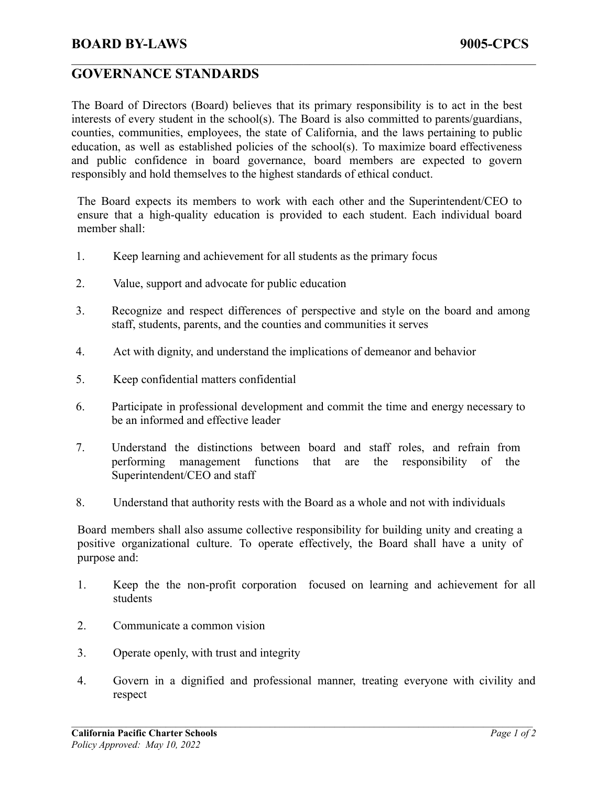## **BOARD BY-LAWS 9005-CPCS**

## **GOVERNANCE STANDARDS**

The Board of Directors (Board) believes that its primary responsibility is to act in the best interests of every student in the school(s). The Board is also committed to parents/guardians, counties, communities, employees, the state of California, and the laws pertaining to public education, as well as established policies of the school(s). To maximize board effectiveness and public confidence in board governance, board members are expected to govern responsibly and hold themselves to the highest standards of ethical conduct.

 $\mathcal{L}_\mathcal{L} = \{ \mathcal{L}_\mathcal{L} = \{ \mathcal{L}_\mathcal{L} = \{ \mathcal{L}_\mathcal{L} = \{ \mathcal{L}_\mathcal{L} = \{ \mathcal{L}_\mathcal{L} = \{ \mathcal{L}_\mathcal{L} = \{ \mathcal{L}_\mathcal{L} = \{ \mathcal{L}_\mathcal{L} = \{ \mathcal{L}_\mathcal{L} = \{ \mathcal{L}_\mathcal{L} = \{ \mathcal{L}_\mathcal{L} = \{ \mathcal{L}_\mathcal{L} = \{ \mathcal{L}_\mathcal{L} = \{ \mathcal{L}_\mathcal{$ 

The Board expects its members to work with each other and the Superintendent/CEO to ensure that a high-quality education is provided to each student. Each individual board member shall:

- 1. Keep learning and achievement for all students as the primary focus
- 2. Value, support and advocate for public education
- 3. Recognize and respect differences of perspective and style on the board and among staff, students, parents, and the counties and communities it serves
- 4. Act with dignity, and understand the implications of demeanor and behavior
- 5. Keep confidential matters confidential
- 6. Participate in professional development and commit the time and energy necessary to be an informed and effective leader
- 7. Understand the distinctions between board and staff roles, and refrain from performing management functions that are the responsibility of the Superintendent/CEO and staff
- 8. Understand that authority rests with the Board as a whole and not with individuals

Board members shall also assume collective responsibility for building unity and creating a positive organizational culture. To operate effectively, the Board shall have a unity of purpose and:

- 1. Keep the the non-profit corporation focused on learning and achievement for all students
- 2. Communicate a common vision
- 3. Operate openly, with trust and integrity
- 4. Govern in a dignified and professional manner, treating everyone with civility and respect

 $\mathcal{L}_\mathcal{L} = \{ \mathcal{L}_\mathcal{L} = \{ \mathcal{L}_\mathcal{L} = \{ \mathcal{L}_\mathcal{L} = \{ \mathcal{L}_\mathcal{L} = \{ \mathcal{L}_\mathcal{L} = \{ \mathcal{L}_\mathcal{L} = \{ \mathcal{L}_\mathcal{L} = \{ \mathcal{L}_\mathcal{L} = \{ \mathcal{L}_\mathcal{L} = \{ \mathcal{L}_\mathcal{L} = \{ \mathcal{L}_\mathcal{L} = \{ \mathcal{L}_\mathcal{L} = \{ \mathcal{L}_\mathcal{L} = \{ \mathcal{L}_\mathcal{$